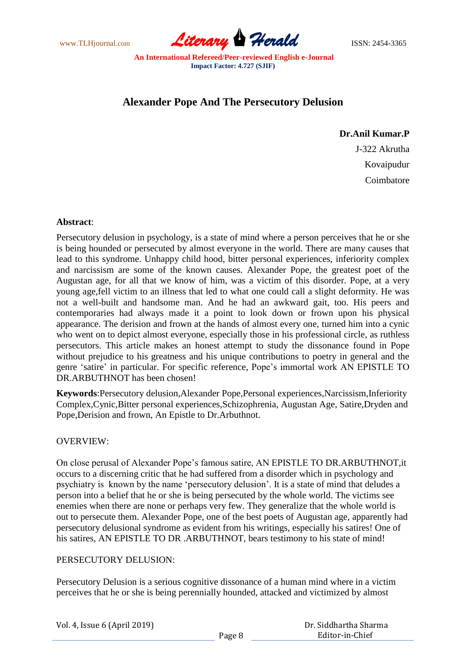www.TLHjournal.com **Literary Herald Herald** ISSN: 2454-3365

# **Alexander Pope And The Persecutory Delusion**

## **Dr.Anil Kumar.P**

J-322 Akrutha Kovaipudur Coimbatore

## **Abstract**:

Persecutory delusion in psychology, is a state of mind where a person perceives that he or she is being hounded or persecuted by almost everyone in the world. There are many causes that lead to this syndrome. Unhappy child hood, bitter personal experiences, inferiority complex and narcissism are some of the known causes. Alexander Pope, the greatest poet of the Augustan age, for all that we know of him, was a victim of this disorder. Pope, at a very young age,fell victim to an illness that led to what one could call a slight deformity. He was not a well-built and handsome man. And he had an awkward gait, too. His peers and contemporaries had always made it a point to look down or frown upon his physical appearance. The derision and frown at the hands of almost every one, turned him into a cynic who went on to depict almost everyone, especially those in his professional circle, as ruthless persecutors. This article makes an honest attempt to study the dissonance found in Pope without prejudice to his greatness and his unique contributions to poetry in general and the genre 'satire' in particular. For specific reference, Pope's immortal work AN EPISTLE TO DR.ARBUTHNOT has been chosen!

**Keywords**:Persecutory delusion,Alexander Pope,Personal experiences,Narcissism,Inferiority Complex,Cynic,Bitter personal experiences,Schizophrenia, Augustan Age, Satire,Dryden and Pope,Derision and frown, An Epistle to Dr.Arbuthnot.

## OVERVIEW:

On close perusal of Alexander Pope's famous satire, AN EPISTLE TO DR.ARBUTHNOT,it occurs to a discerning critic that he had suffered from a disorder which in psychology and psychiatry is known by the name 'persecutory delusion'. It is a state of mind that deludes a person into a belief that he or she is being persecuted by the whole world. The victims see enemies when there are none or perhaps very few. They generalize that the whole world is out to persecute them. Alexander Pope, one of the best poets of Augustan age, apparently had persecutory delusional syndrome as evident from his writings, especially his satires! One of his satires, AN EPISTLE TO DR .ARBUTHNOT, bears testimony to his state of mind!

## PERSECUTORY DELUSION:

Persecutory Delusion is a serious cognitive dissonance of a human mind where in a victim perceives that he or she is being perennially hounded, attacked and victimized by almost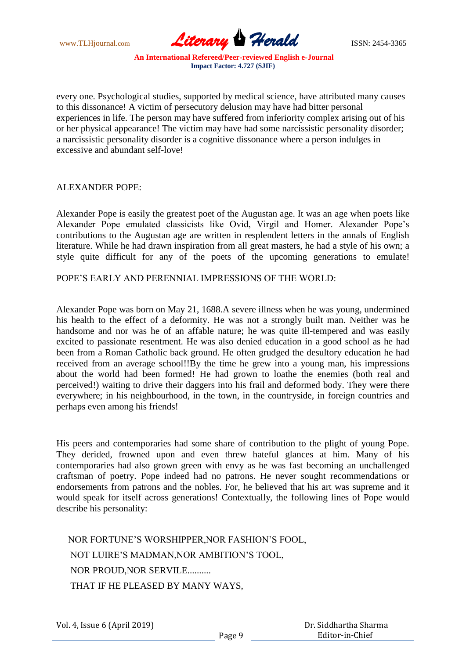www.TLHjournal.com **Literary Herald ISSN: 2454-3365** 

every one. Psychological studies, supported by medical science, have attributed many causes to this dissonance! A victim of persecutory delusion may have had bitter personal experiences in life. The person may have suffered from inferiority complex arising out of his or her physical appearance! The victim may have had some narcissistic personality disorder; a narcissistic personality disorder is a cognitive dissonance where a person indulges in excessive and abundant self-love!

ALEXANDER POPE:

Alexander Pope is easily the greatest poet of the Augustan age. It was an age when poets like Alexander Pope emulated classicists like Ovid, Virgil and Homer. Alexander Pope's contributions to the Augustan age are written in resplendent letters in the annals of English literature. While he had drawn inspiration from all great masters, he had a style of his own; a style quite difficult for any of the poets of the upcoming generations to emulate!

POPE'S EARLY AND PERENNIAL IMPRESSIONS OF THE WORLD:

Alexander Pope was born on May 21, 1688.A severe illness when he was young, undermined his health to the effect of a deformity. He was not a strongly built man. Neither was he handsome and nor was he of an affable nature; he was quite ill-tempered and was easily excited to passionate resentment. He was also denied education in a good school as he had been from a Roman Catholic back ground. He often grudged the desultory education he had received from an average school!!By the time he grew into a young man, his impressions about the world had been formed! He had grown to loathe the enemies (both real and perceived!) waiting to drive their daggers into his frail and deformed body. They were there everywhere; in his neighbourhood, in the town, in the countryside, in foreign countries and perhaps even among his friends!

His peers and contemporaries had some share of contribution to the plight of young Pope. They derided, frowned upon and even threw hateful glances at him. Many of his contemporaries had also grown green with envy as he was fast becoming an unchallenged craftsman of poetry. Pope indeed had no patrons. He never sought recommendations or endorsements from patrons and the nobles. For, he believed that his art was supreme and it would speak for itself across generations! Contextually, the following lines of Pope would describe his personality:

 NOR FORTUNE'S WORSHIPPER,NOR FASHION'S FOOL, NOT LUIRE'S MADMAN,NOR AMBITION'S TOOL, NOR PROUD,NOR SERVILE.......... THAT IF HE PLEASED BY MANY WAYS,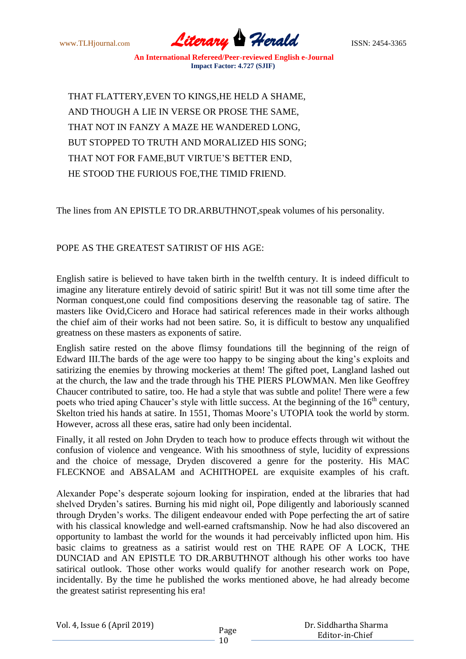www.TLHjournal.com **Literary Herald Herald** ISSN: 2454-3365

 THAT FLATTERY,EVEN TO KINGS,HE HELD A SHAME, AND THOUGH A LIE IN VERSE OR PROSE THE SAME, THAT NOT IN FANZY A MAZE HE WANDERED LONG, BUT STOPPED TO TRUTH AND MORALIZED HIS SONG; THAT NOT FOR FAME,BUT VIRTUE'S BETTER END, HE STOOD THE FURIOUS FOE,THE TIMID FRIEND.

The lines from AN EPISTLE TO DR.ARBUTHNOT,speak volumes of his personality.

## POPE AS THE GREATEST SATIRIST OF HIS AGE:

English satire is believed to have taken birth in the twelfth century. It is indeed difficult to imagine any literature entirely devoid of satiric spirit! But it was not till some time after the Norman conquest,one could find compositions deserving the reasonable tag of satire. The masters like Ovid,Cicero and Horace had satirical references made in their works although the chief aim of their works had not been satire. So, it is difficult to bestow any unqualified greatness on these masters as exponents of satire.

English satire rested on the above flimsy foundations till the beginning of the reign of Edward III.The bards of the age were too happy to be singing about the king's exploits and satirizing the enemies by throwing mockeries at them! The gifted poet, Langland lashed out at the church, the law and the trade through his THE PIERS PLOWMAN. Men like Geoffrey Chaucer contributed to satire, too. He had a style that was subtle and polite! There were a few poets who tried aping Chaucer's style with little success. At the beginning of the  $16<sup>th</sup>$  century, Skelton tried his hands at satire. In 1551, Thomas Moore's UTOPIA took the world by storm. However, across all these eras, satire had only been incidental.

Finally, it all rested on John Dryden to teach how to produce effects through wit without the confusion of violence and vengeance. With his smoothness of style, lucidity of expressions and the choice of message, Dryden discovered a genre for the posterity. His MAC FLECKNOE and ABSALAM and ACHITHOPEL are exquisite examples of his craft.

Alexander Pope's desperate sojourn looking for inspiration, ended at the libraries that had shelved Dryden's satires. Burning his mid night oil, Pope diligently and laboriously scanned through Dryden's works. The diligent endeavour ended with Pope perfecting the art of satire with his classical knowledge and well-earned craftsmanship. Now he had also discovered an opportunity to lambast the world for the wounds it had perceivably inflicted upon him. His basic claims to greatness as a satirist would rest on THE RAPE OF A LOCK, THE DUNCIAD and AN EPISTLE TO DR.ARBUTHNOT although his other works too have satirical outlook. Those other works would qualify for another research work on Pope, incidentally. By the time he published the works mentioned above, he had already become the greatest satirist representing his era!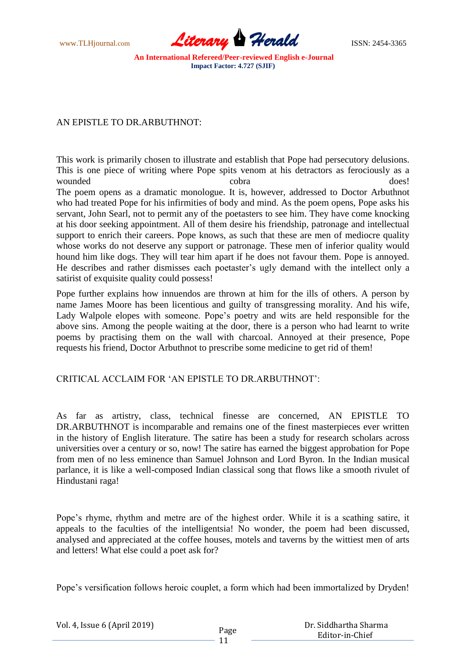www.TLHjournal.com **Literary Herald Herald** ISSN: 2454-3365

#### AN EPISTLE TO DR.ARBUTHNOT:

This work is primarily chosen to illustrate and establish that Pope had persecutory delusions. This is one piece of writing where Pope spits venom at his detractors as ferociously as a wounded cobra cobra does! The poem opens as a dramatic monologue. It is, however, addressed to Doctor Arbuthnot who had treated Pope for his infirmities of body and mind. As the poem opens, Pope asks his servant, John Searl, not to permit any of the poetasters to see him. They have come knocking at his door seeking appointment. All of them desire his friendship, patronage and intellectual support to enrich their careers. Pope knows, as such that these are men of mediocre quality whose works do not deserve any support or patronage. These men of inferior quality would hound him like dogs. They will tear him apart if he does not favour them. Pope is annoyed. He describes and rather dismisses each poetaster's ugly demand with the intellect only a satirist of exquisite quality could possess!

Pope further explains how innuendos are thrown at him for the ills of others. A person by name James Moore has been licentious and guilty of transgressing morality. And his wife, Lady Walpole elopes with someone. Pope's poetry and wits are held responsible for the above sins. Among the people waiting at the door, there is a person who had learnt to write poems by practising them on the wall with charcoal. Annoyed at their presence, Pope requests his friend, Doctor Arbuthnot to prescribe some medicine to get rid of them!

## CRITICAL ACCLAIM FOR 'AN EPISTLE TO DR.ARBUTHNOT':

As far as artistry, class, technical finesse are concerned, AN EPISTLE TO DR.ARBUTHNOT is incomparable and remains one of the finest masterpieces ever written in the history of English literature. The satire has been a study for research scholars across universities over a century or so, now! The satire has earned the biggest approbation for Pope from men of no less eminence than Samuel Johnson and Lord Byron. In the Indian musical parlance, it is like a well-composed Indian classical song that flows like a smooth rivulet of Hindustani raga!

Pope's rhyme, rhythm and metre are of the highest order. While it is a scathing satire, it appeals to the faculties of the intelligentsia! No wonder, the poem had been discussed, analysed and appreciated at the coffee houses, motels and taverns by the wittiest men of arts and letters! What else could a poet ask for?

Pope's versification follows heroic couplet, a form which had been immortalized by Dryden!

| Vol. 4, Issue 6 (April 2019) |      | Dr. Siddhartha Sharma |
|------------------------------|------|-----------------------|
|                              | Page | Editor-in-Chief       |
|                              |      |                       |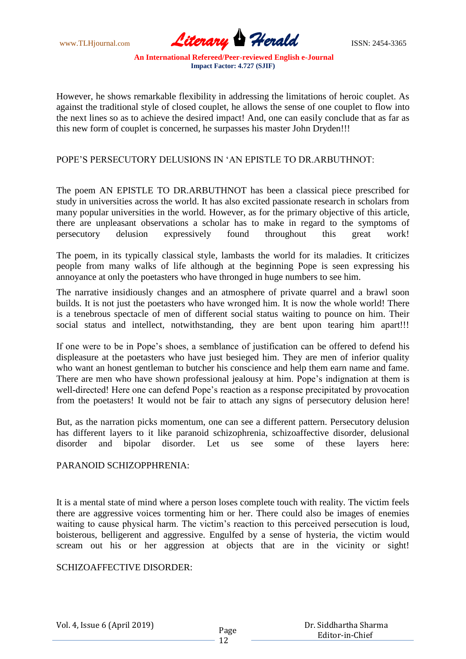www.TLHjournal.com **Literary Herald Herald** ISSN: 2454-3365

However, he shows remarkable flexibility in addressing the limitations of heroic couplet. As against the traditional style of closed couplet, he allows the sense of one couplet to flow into the next lines so as to achieve the desired impact! And, one can easily conclude that as far as this new form of couplet is concerned, he surpasses his master John Dryden!!!

## POPE'S PERSECUTORY DELUSIONS IN 'AN EPISTLE TO DR.ARBUTHNOT:

The poem AN EPISTLE TO DR.ARBUTHNOT has been a classical piece prescribed for study in universities across the world. It has also excited passionate research in scholars from many popular universities in the world. However, as for the primary objective of this article, there are unpleasant observations a scholar has to make in regard to the symptoms of persecutory delusion expressively found throughout this great work!

The poem, in its typically classical style, lambasts the world for its maladies. It criticizes people from many walks of life although at the beginning Pope is seen expressing his annoyance at only the poetasters who have thronged in huge numbers to see him.

The narrative insidiously changes and an atmosphere of private quarrel and a brawl soon builds. It is not just the poetasters who have wronged him. It is now the whole world! There is a tenebrous spectacle of men of different social status waiting to pounce on him. Their social status and intellect, notwithstanding, they are bent upon tearing him apart!!!

If one were to be in Pope's shoes, a semblance of justification can be offered to defend his displeasure at the poetasters who have just besieged him. They are men of inferior quality who want an honest gentleman to butcher his conscience and help them earn name and fame. There are men who have shown professional jealousy at him. Pope's indignation at them is well-directed! Here one can defend Pope's reaction as a response precipitated by provocation from the poetasters! It would not be fair to attach any signs of persecutory delusion here!

But, as the narration picks momentum, one can see a different pattern. Persecutory delusion has different layers to it like paranoid schizophrenia, schizoaffective disorder, delusional disorder and bipolar disorder. Let us see some of these layers here:

#### PARANOID SCHIZOPPHRENIA:

It is a mental state of mind where a person loses complete touch with reality. The victim feels there are aggressive voices tormenting him or her. There could also be images of enemies waiting to cause physical harm. The victim's reaction to this perceived persecution is loud, boisterous, belligerent and aggressive. Engulfed by a sense of hysteria, the victim would scream out his or her aggression at objects that are in the vicinity or sight!

#### SCHIZOAFFECTIVE DISORDER:

Vol. 4, Issue 6 (April 2019)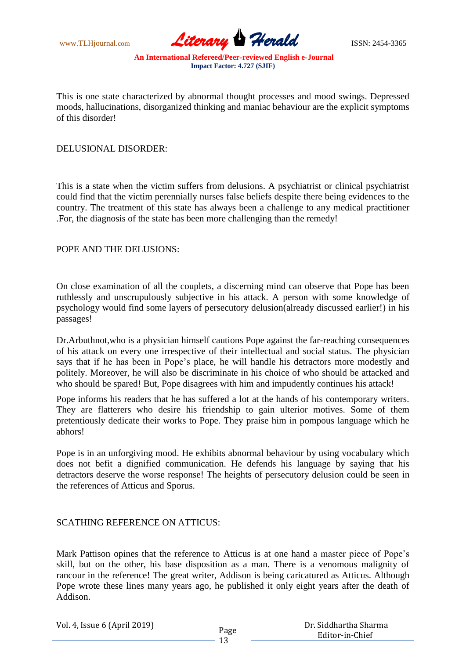www.TLHjournal.com **Literary Herald Herald** ISSN: 2454-3365

This is one state characterized by abnormal thought processes and mood swings. Depressed moods, hallucinations, disorganized thinking and maniac behaviour are the explicit symptoms of this disorder!

#### DELUSIONAL DISORDER:

This is a state when the victim suffers from delusions. A psychiatrist or clinical psychiatrist could find that the victim perennially nurses false beliefs despite there being evidences to the country. The treatment of this state has always been a challenge to any medical practitioner .For, the diagnosis of the state has been more challenging than the remedy!

#### POPE AND THE DELUSIONS:

On close examination of all the couplets, a discerning mind can observe that Pope has been ruthlessly and unscrupulously subjective in his attack. A person with some knowledge of psychology would find some layers of persecutory delusion(already discussed earlier!) in his passages!

Dr.Arbuthnot,who is a physician himself cautions Pope against the far-reaching consequences of his attack on every one irrespective of their intellectual and social status. The physician says that if he has been in Pope's place, he will handle his detractors more modestly and politely. Moreover, he will also be discriminate in his choice of who should be attacked and who should be spared! But, Pope disagrees with him and impudently continues his attack!

Pope informs his readers that he has suffered a lot at the hands of his contemporary writers. They are flatterers who desire his friendship to gain ulterior motives. Some of them pretentiously dedicate their works to Pope. They praise him in pompous language which he abhors!

Pope is in an unforgiving mood. He exhibits abnormal behaviour by using vocabulary which does not befit a dignified communication. He defends his language by saying that his detractors deserve the worse response! The heights of persecutory delusion could be seen in the references of Atticus and Sporus.

## SCATHING REFERENCE ON ATTICUS:

Mark Pattison opines that the reference to Atticus is at one hand a master piece of Pope's skill, but on the other, his base disposition as a man. There is a venomous malignity of rancour in the reference! The great writer, Addison is being caricatured as Atticus. Although Pope wrote these lines many years ago, he published it only eight years after the death of Addison.

Vol. 4, Issue 6 (April 2019)

 Dr. Siddhartha Sharma Editor-in-Chief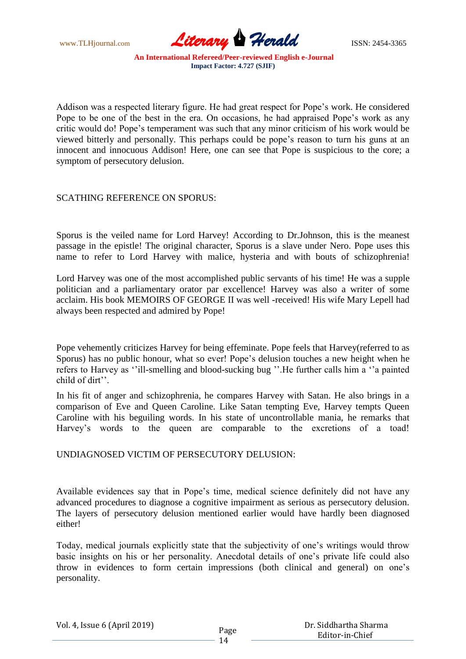

Addison was a respected literary figure. He had great respect for Pope's work. He considered Pope to be one of the best in the era. On occasions, he had appraised Pope's work as any critic would do! Pope's temperament was such that any minor criticism of his work would be viewed bitterly and personally. This perhaps could be pope's reason to turn his guns at an innocent and innocuous Addison! Here, one can see that Pope is suspicious to the core; a symptom of persecutory delusion.

## SCATHING REFERENCE ON SPORUS:

Sporus is the veiled name for Lord Harvey! According to Dr.Johnson, this is the meanest passage in the epistle! The original character, Sporus is a slave under Nero. Pope uses this name to refer to Lord Harvey with malice, hysteria and with bouts of schizophrenia!

Lord Harvey was one of the most accomplished public servants of his time! He was a supple politician and a parliamentary orator par excellence! Harvey was also a writer of some acclaim. His book MEMOIRS OF GEORGE II was well -received! His wife Mary Lepell had always been respected and admired by Pope!

Pope vehemently criticizes Harvey for being effeminate. Pope feels that Harvey(referred to as Sporus) has no public honour, what so ever! Pope's delusion touches a new height when he refers to Harvey as ''ill-smelling and blood-sucking bug ''.He further calls him a ''a painted child of dirt''.

In his fit of anger and schizophrenia, he compares Harvey with Satan. He also brings in a comparison of Eve and Queen Caroline. Like Satan tempting Eve, Harvey tempts Queen Caroline with his beguiling words. In his state of uncontrollable mania, he remarks that Harvey's words to the queen are comparable to the excretions of a toad!

UNDIAGNOSED VICTIM OF PERSECUTORY DELUSION:

Available evidences say that in Pope's time, medical science definitely did not have any advanced procedures to diagnose a cognitive impairment as serious as persecutory delusion. The layers of persecutory delusion mentioned earlier would have hardly been diagnosed either!

Today, medical journals explicitly state that the subjectivity of one's writings would throw basic insights on his or her personality. Anecdotal details of one's private life could also throw in evidences to form certain impressions (both clinical and general) on one's personality.